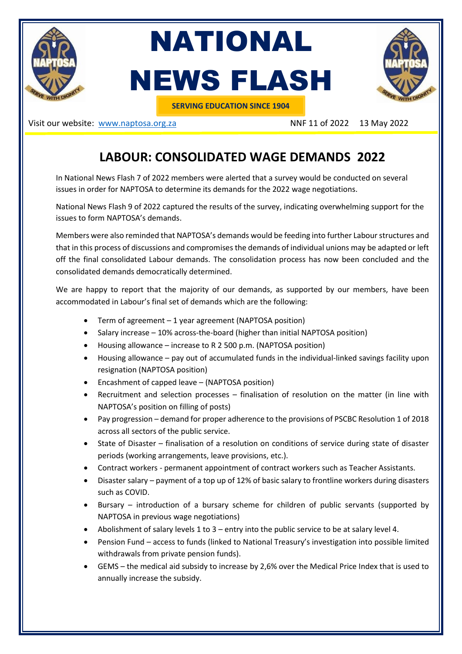

NATIONAL NEWS FLASH



**SERVING EDUCATION SINCE 1904**

Visit our website: [www.naptosa.org.za](http://www.naptosa.org.za/) NNF 11 of 2022 13 May 2022

## **LABOUR: CONSOLIDATED WAGE DEMANDS 2022**

In National News Flash 7 of 2022 members were alerted that a survey would be conducted on several issues in order for NAPTOSA to determine its demands for the 2022 wage negotiations.

National News Flash 9 of 2022 captured the results of the survey, indicating overwhelming support for the issues to form NAPTOSA's demands.

Members were also reminded that NAPTOSA's demands would be feeding into further Labour structures and that in this process of discussions and compromises the demands of individual unions may be adapted or left off the final consolidated Labour demands. The consolidation process has now been concluded and the consolidated demands democratically determined.

We are happy to report that the majority of our demands, as supported by our members, have been accommodated in Labour's final set of demands which are the following:

- Term of agreement 1 year agreement (NAPTOSA position)
- Salary increase 10% across-the-board (higher than initial NAPTOSA position)
- Housing allowance increase to R 2 500 p.m. (NAPTOSA position)
- Housing allowance pay out of accumulated funds in the individual-linked savings facility upon resignation (NAPTOSA position)
- Encashment of capped leave (NAPTOSA position)
- Recruitment and selection processes finalisation of resolution on the matter (in line with NAPTOSA's position on filling of posts)
- Pay progression demand for proper adherence to the provisions of PSCBC Resolution 1 of 2018 across all sectors of the public service.
- State of Disaster finalisation of a resolution on conditions of service during state of disaster periods (working arrangements, leave provisions, etc.).
- Contract workers permanent appointment of contract workers such as Teacher Assistants.
- Disaster salary payment of a top up of 12% of basic salary to frontline workers during disasters such as COVID.
- Bursary introduction of a bursary scheme for children of public servants (supported by NAPTOSA in previous wage negotiations)
- Abolishment of salary levels 1 to 3 entry into the public service to be at salary level 4.
- Pension Fund access to funds (linked to National Treasury's investigation into possible limited withdrawals from private pension funds).
- GEMS the medical aid subsidy to increase by 2,6% over the Medical Price Index that is used to annually increase the subsidy.